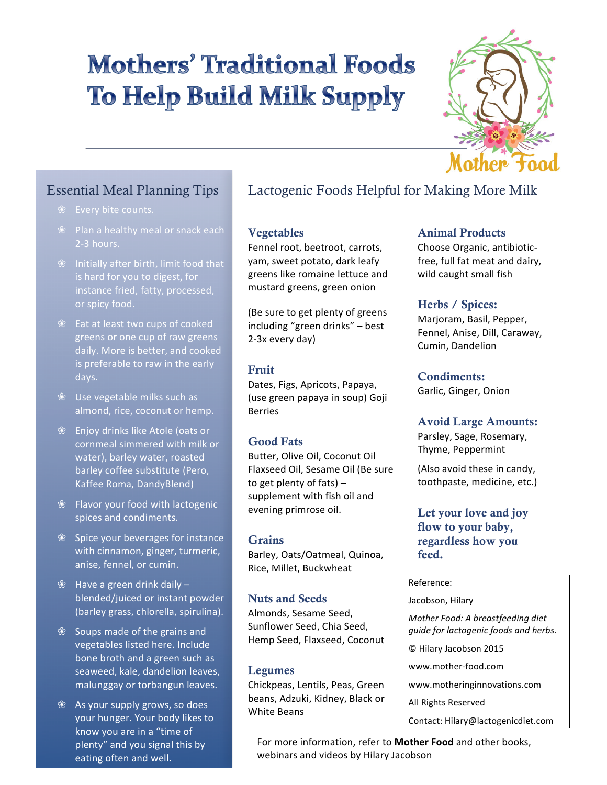# **Mothers' Traditional Foods To Help Build Milk Supply**



### Essential Meal Planning Tips

- 
- 2-3 hours.
- $%$  Initially after birth, limit food that is hard for you to digest, for instance fried, fatty, processed, or spicy food.
- $%$  Eat at least two cups of cooked greens or one cup of raw greens daily. More is better, and cooked is preferable to raw in the early days.
- $%$  Use vegetable milks such as almond, rice, coconut or hemp.
- ❀ Enjoy drinks like Atole (oats or cornmeal simmered with milk or water), barley water, roasted barley coffee substitute (Pero, Kaffee Roma, DandyBlend)
- $\mathscr{B}$  Flavor your food with lactogenic spices and condiments.
- $\%$  Spice your beverages for instance with cinnamon, ginger, turmeric, anise, fennel, or cumin.
- $\%$  Have a green drink daily  $$ blended/juiced or instant powder (barley grass, chlorella, spirulina).
- $%$  Soups made of the grains and vegetables listed here. Include bone broth and a green such as seaweed, kale, dandelion leaves, malunggay or torbangun leaves.
- $\%$  As your supply grows, so does your hunger. Your body likes to know you are in a "time of plenty" and you signal this by eating often and well.

## Lactogenic Foods Helpful for Making More Milk

#### Vegetables

Fennel root, beetroot, carrots, yam, sweet potato, dark leafy greens like romaine lettuce and mustard greens, green onion

(Be sure to get plenty of greens including "green drinks" - best 2-3x every day)

#### Fruit

Dates, Figs, Apricots, Papaya, (use green papaya in soup) Goji Berries 

#### Good Fats

Butter, Olive Oil, Coconut Oil Flaxseed Oil, Sesame Oil (Be sure to get plenty of fats)  $$ supplement with fish oil and evening primrose oil.

#### **Grains**

Barley, Oats/Oatmeal, Quinoa, Rice, Millet, Buckwheat

#### Nuts and Seeds

Almonds, Sesame Seed, Sunflower Seed, Chia Seed, Hemp Seed, Flaxseed, Coconut

#### Legumes

Chickpeas, Lentils, Peas, Green beans, Adzuki, Kidney, Black or White Beans

#### Animal Products

Choose Organic, antibioticfree, full fat meat and dairy, wild caught small fish

#### Herbs / Spices:

Marjoram, Basil, Pepper, Fennel, Anise, Dill, Caraway, Cumin, Dandelion

#### Condiments:

Garlic, Ginger, Onion

#### Avoid Large Amounts:

Parsley, Sage, Rosemary, Thyme, Peppermint

(Also avoid these in candy, toothpaste, medicine, etc.)

#### Let your love and joy flow to your baby, regardless how you feed.

#### Reference:

Jacobson, Hilary

*Mother Food: A breastfeeding diet guide for lactogenic foods and herbs.*

© Hilary Jacobson 2015

www.mother-food.com

- www.motheringinnovations.com
- All Rights Reserved
- Contact: Hilary@lactogenicdiet.com

For more information, refer to Mother Food and other books, webinars and videos by Hilary Jacobson